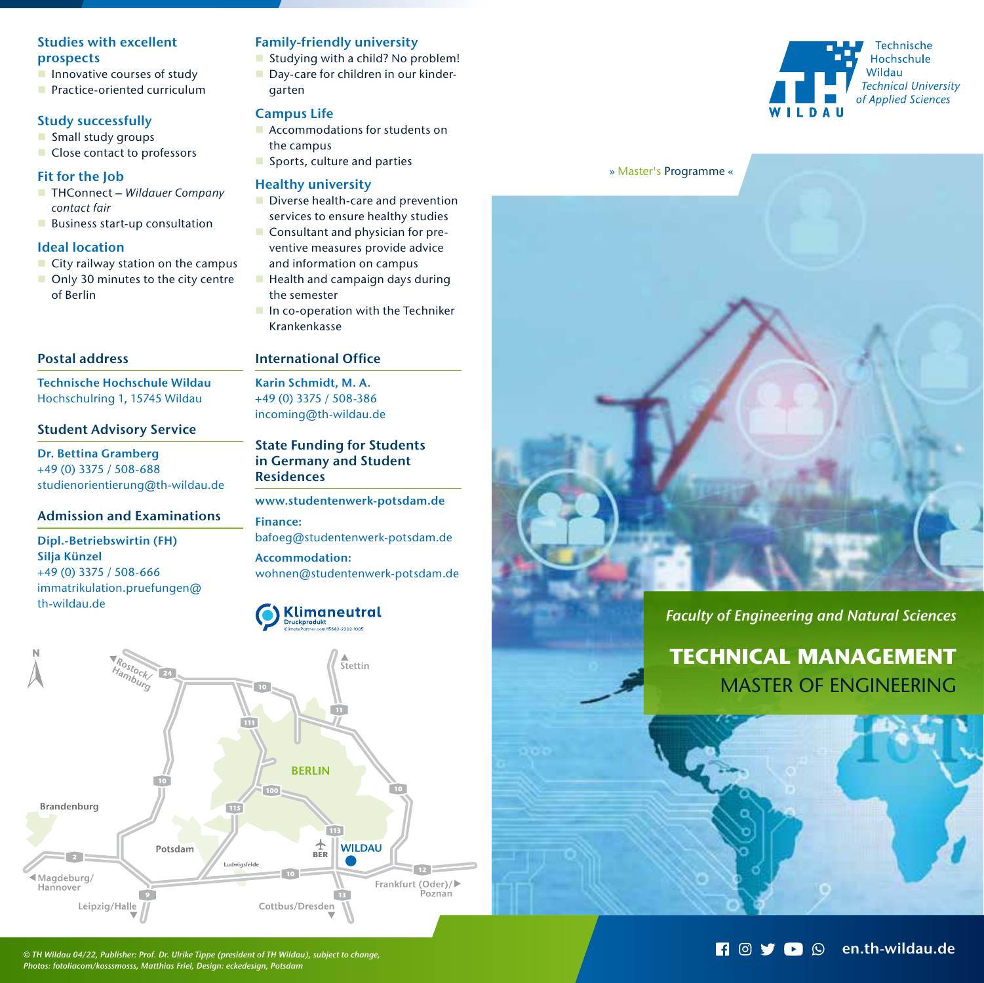# Studies with excellent prospects

- $\blacksquare$  Innovative courses of study
- **Practice-oriented curriculum**

# Study successfully

- Small study groups
- Close contact to professors

## Fit for the Job

- THConnect Wildauer Company contact fair
- **Business start-up consultation**

# Ideal location

- $\blacksquare$  City railway station on the campus
- Only 30 minutes to the city centre of Berlin

# Postal address

Technische Hochschule Wildau Hochschulring 1, 15745 Wildau

# Student Advisory Service

Dr. Bettina Gramberg +49 (0) 3375 / 508-688 studienorientierung@th-wildau.de

## Admission and Examinations

#### Dipl.-Betriebswirtin (FH) Silja Künzel +49 (0) 3375 / 508-666 immatrikulation.pruefungen@ th-wildau.de

# Family-friendly university

Studying with a child? No problem! Day-care for children in our kindergarten

# Campus Life

- **Accommodations for students on** the campus
- Sports, culture and parties

#### Healthy university

- Diverse health-care and prevention services to ensure healthy studies
- Consultant and physician for preventive measures provide advice and information on campus
- $\blacksquare$  Health and campaign days during the semester
- In co-operation with the Techniker Krankenkasse

## International Office

Karin Schmidt, M. A. +49 (0) 3375 / 508-386 incoming@th-wildau.de

# State Funding for Students in Germany and Student **Residences**

www.studentenwerk-potsdam.de Finance: bafoeg@studentenwerk-potsdam.de Accommodation: wohnen@studentenwerk-potsdam.de







#### » Master's Programme «



# *Faculty of Engineering and Natural Sciences*

**TECHNICAL MANAGEMENT** MASTER OF ENGINEERING